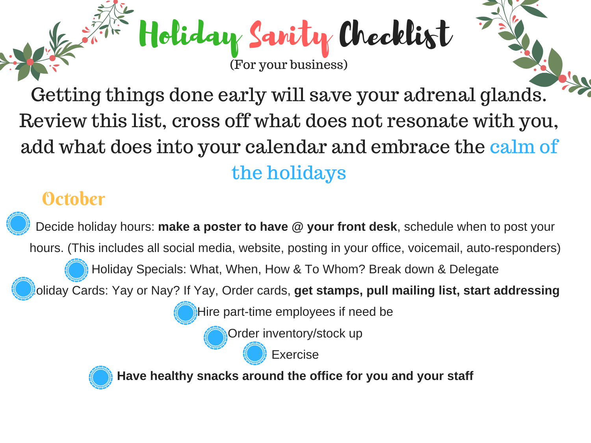Getting things done early will save your adrenal glands. Review this list, cross off what does not resonate with you, add what does into your calendar and embrace the calm of the holidays

Holiday Sanity Checklist

(For your business)

## **October**

Decide holiday hours: **make a poster to have @ your front desk**, schedule when to post your hours. (This includes all social media, website, posting in your office, voicemail, auto-responders)

Holiday Specials: What, When, How & To Whom? Break down & Delegate

Holiday Cards: Yay or Nay? If Yay, Order cards, **get stamps, pull mailing list, start addressing**

Hire part-time employees if need be

Order inventory/stock up

Exercise



**Have healthy snacks around the office for you and your staff**